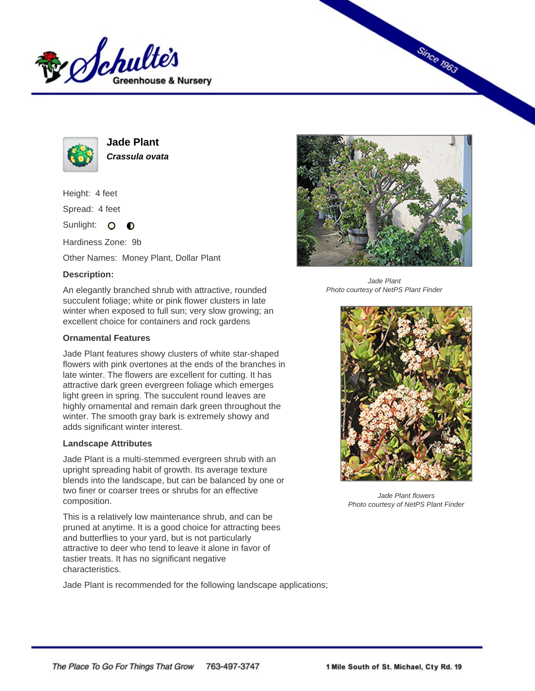



**Jade Plant Crassula ovata**

Height: 4 feet

Spread: 4 feet

Sunlight: O  $\bullet$ 

Hardiness Zone: 9b

Other Names: Money Plant, Dollar Plant

## **Description:**

An elegantly branched shrub with attractive, rounded succulent foliage; white or pink flower clusters in late winter when exposed to full sun; very slow growing; an excellent choice for containers and rock gardens

## **Ornamental Features**

Jade Plant features showy clusters of white star-shaped flowers with pink overtones at the ends of the branches in late winter. The flowers are excellent for cutting. It has attractive dark green evergreen foliage which emerges light green in spring. The succulent round leaves are highly ornamental and remain dark green throughout the winter. The smooth gray bark is extremely showy and adds significant winter interest.

## **Landscape Attributes**

Jade Plant is a multi-stemmed evergreen shrub with an upright spreading habit of growth. Its average texture blends into the landscape, but can be balanced by one or two finer or coarser trees or shrubs for an effective composition.

This is a relatively low maintenance shrub, and can be pruned at anytime. It is a good choice for attracting bees and butterflies to your yard, but is not particularly attractive to deer who tend to leave it alone in favor of tastier treats. It has no significant negative characteristics.

Jade Plant is recommended for the following landscape applications;



**Since 1963** 

Jade Plant Photo courtesy of NetPS Plant Finder



Jade Plant flowers Photo courtesy of NetPS Plant Finder